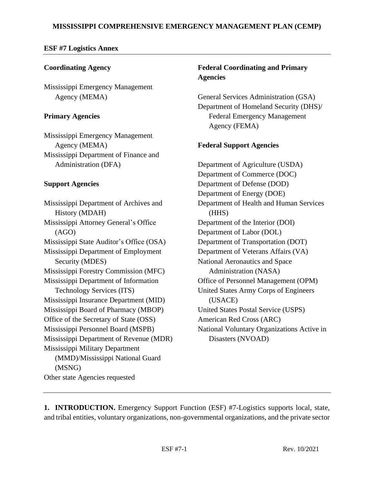### **MISSISSIPPI COMPREHENSIVE EMERGENCY MANAGEMENT PLAN (CEMP)**

#### **ESF #7 Logistics Annex**

### **Coordinating Agency**

Mississippi Emergency Management Agency (MEMA)

#### **Primary Agencies**

Mississippi Emergency Management Agency (MEMA) Mississippi Department of Finance and Administration (DFA)

### **Support Agencies**

Mississippi Department of Archives and History (MDAH) Mississippi Attorney General's Office (AGO) Mississippi State Auditor's Office (OSA) Mississippi Department of Employment Security (MDES) Mississippi Forestry Commission (MFC) Mississippi Department of Information Technology Services (ITS) Mississippi Insurance Department (MID) Mississippi Board of Pharmacy (MBOP) Office of the Secretary of State (OSS) Mississippi Personnel Board (MSPB) Mississippi Department of Revenue (MDR) Mississippi Military Department (MMD)/Mississippi National Guard (MSNG) Other state Agencies requested

# **Federal Coordinating and Primary Agencies**

General Services Administration (GSA) Department of Homeland Security (DHS)/ Federal Emergency Management Agency (FEMA)

## **Federal Support Agencies**

Department of Agriculture (USDA) Department of Commerce (DOC) Department of Defense (DOD) Department of Energy (DOE) Department of Health and Human Services (HHS) Department of the Interior (DOI) Department of Labor (DOL) Department of Transportation (DOT) Department of Veterans Affairs (VA) National Aeronautics and Space Administration (NASA) Office of Personnel Management (OPM) United States Army Corps of Engineers (USACE) United States Postal Service (USPS) American Red Cross (ARC) National Voluntary Organizations Active in Disasters (NVOAD)

**1. INTRODUCTION.** Emergency Support Function (ESF) #7-Logistics supports local, state, and tribal entities, voluntary organizations, non-governmental organizations, and the private sector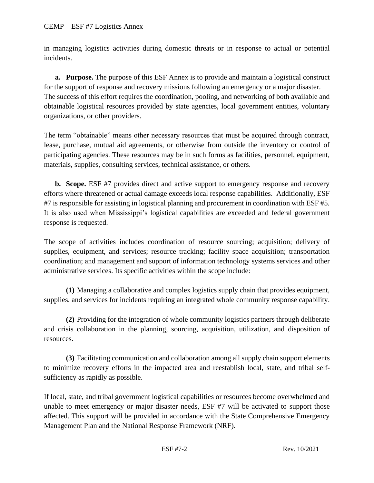in managing logistics activities during domestic threats or in response to actual or potential incidents.

**a. Purpose.** The purpose of this ESF Annex is to provide and maintain a logistical construct for the support of response and recovery missions following an emergency or a major disaster. The success of this effort requires the coordination, pooling, and networking of both available and obtainable logistical resources provided by state agencies, local government entities, voluntary organizations, or other providers.

The term "obtainable" means other necessary resources that must be acquired through contract, lease, purchase, mutual aid agreements, or otherwise from outside the inventory or control of participating agencies. These resources may be in such forms as facilities, personnel, equipment, materials, supplies, consulting services, technical assistance, or others.

**b. Scope.** ESF #7 provides direct and active support to emergency response and recovery efforts where threatened or actual damage exceeds local response capabilities. Additionally, ESF #7 is responsible for assisting in logistical planning and procurement in coordination with ESF #5. It is also used when Mississippi's logistical capabilities are exceeded and federal government response is requested.

The scope of activities includes coordination of resource sourcing; acquisition; delivery of supplies, equipment, and services; resource tracking; facility space acquisition; transportation coordination; and management and support of information technology systems services and other administrative services. Its specific activities within the scope include:

**(1)** Managing a collaborative and complex logistics supply chain that provides equipment, supplies, and services for incidents requiring an integrated whole community response capability.

**(2)** Providing for the integration of whole community logistics partners through deliberate and crisis collaboration in the planning, sourcing, acquisition, utilization, and disposition of resources.

**(3)** Facilitating communication and collaboration among all supply chain support elements to minimize recovery efforts in the impacted area and reestablish local, state, and tribal selfsufficiency as rapidly as possible.

If local, state, and tribal government logistical capabilities or resources become overwhelmed and unable to meet emergency or major disaster needs, ESF #7 will be activated to support those affected. This support will be provided in accordance with the State Comprehensive Emergency Management Plan and the National Response Framework (NRF).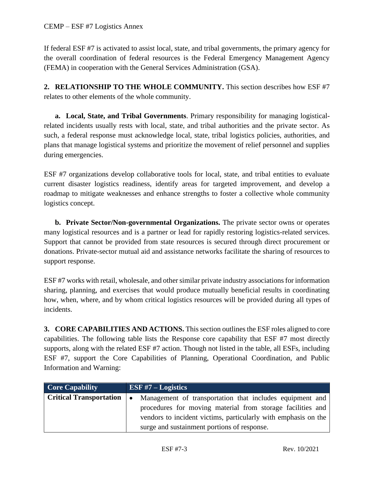If federal ESF #7 is activated to assist local, state, and tribal governments, the primary agency for the overall coordination of federal resources is the Federal Emergency Management Agency (FEMA) in cooperation with the General Services Administration (GSA).

**2. RELATIONSHIP TO THE WHOLE COMMUNITY.** This section describes how ESF #7 relates to other elements of the whole community.

**a. Local, State, and Tribal Governments**. Primary responsibility for managing logisticalrelated incidents usually rests with local, state, and tribal authorities and the private sector. As such, a federal response must acknowledge local, state, tribal logistics policies, authorities, and plans that manage logistical systems and prioritize the movement of relief personnel and supplies during emergencies.

ESF #7 organizations develop collaborative tools for local, state, and tribal entities to evaluate current disaster logistics readiness, identify areas for targeted improvement, and develop a roadmap to mitigate weaknesses and enhance strengths to foster a collective whole community logistics concept.

**b. Private Sector/Non-governmental Organizations.** The private sector owns or operates many logistical resources and is a partner or lead for rapidly restoring logistics-related services. Support that cannot be provided from state resources is secured through direct procurement or donations. Private-sector mutual aid and assistance networks facilitate the sharing of resources to support response.

ESF #7 works with retail, wholesale, and other similar private industry associations for information sharing, planning, and exercises that would produce mutually beneficial results in coordinating how, when, where, and by whom critical logistics resources will be provided during all types of incidents.

**3. CORE CAPABILITIES AND ACTIONS.** This section outlines the ESF roles aligned to core capabilities. The following table lists the Response core capability that ESF #7 most directly supports, along with the related ESF #7 action. Though not listed in the table, all ESFs, including ESF #7, support the Core Capabilities of Planning, Operational Coordination, and Public Information and Warning:

| <b>Core Capability</b>                | ESF $#7$ – Logistics                                           |
|---------------------------------------|----------------------------------------------------------------|
| Critical Transportation $  \bullet  $ | Management of transportation that includes equipment and       |
|                                       | procedures for moving material from storage facilities and     |
|                                       | vendors to incident victims, particularly with emphasis on the |
|                                       | surge and sustainment portions of response.                    |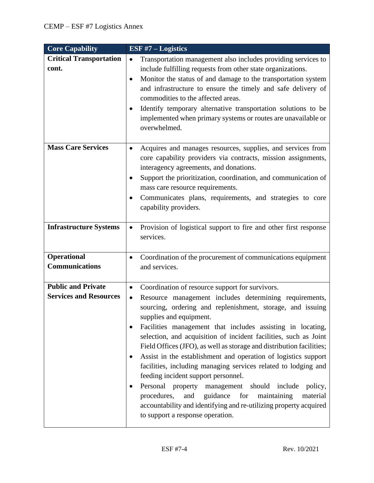| <b>Core Capability</b>                                     | ESF $#7$ – Logistics                                                                                                                                                                                                                                                                                                                                                                                                                                                                                                                                                                                                                                                                                                                                                                                                                                                       |
|------------------------------------------------------------|----------------------------------------------------------------------------------------------------------------------------------------------------------------------------------------------------------------------------------------------------------------------------------------------------------------------------------------------------------------------------------------------------------------------------------------------------------------------------------------------------------------------------------------------------------------------------------------------------------------------------------------------------------------------------------------------------------------------------------------------------------------------------------------------------------------------------------------------------------------------------|
| <b>Critical Transportation</b><br>cont.                    | Transportation management also includes providing services to<br>$\bullet$<br>include fulfilling requests from other state organizations.<br>Monitor the status of and damage to the transportation system<br>$\bullet$<br>and infrastructure to ensure the timely and safe delivery of<br>commodities to the affected areas.<br>Identify temporary alternative transportation solutions to be<br>implemented when primary systems or routes are unavailable or<br>overwhelmed.                                                                                                                                                                                                                                                                                                                                                                                            |
| <b>Mass Care Services</b>                                  | Acquires and manages resources, supplies, and services from<br>$\bullet$<br>core capability providers via contracts, mission assignments,<br>interagency agreements, and donations.<br>Support the prioritization, coordination, and communication of<br>mass care resource requirements.<br>Communicates plans, requirements, and strategies to core<br>capability providers.                                                                                                                                                                                                                                                                                                                                                                                                                                                                                             |
| <b>Infrastructure Systems</b>                              | Provision of logistical support to fire and other first response<br>٠<br>services.                                                                                                                                                                                                                                                                                                                                                                                                                                                                                                                                                                                                                                                                                                                                                                                         |
| <b>Operational</b><br><b>Communications</b>                | Coordination of the procurement of communications equipment<br>$\bullet$<br>and services.                                                                                                                                                                                                                                                                                                                                                                                                                                                                                                                                                                                                                                                                                                                                                                                  |
| <b>Public and Private</b><br><b>Services and Resources</b> | Coordination of resource support for survivors.<br>$\bullet$<br>Resource management includes determining requirements,<br>٠<br>sourcing, ordering and replenishment, storage, and issuing<br>supplies and equipment.<br>Facilities management that includes assisting in locating,<br>selection, and acquisition of incident facilities, such as Joint<br>Field Offices (JFO), as well as storage and distribution facilities;<br>Assist in the establishment and operation of logistics support<br>$\bullet$<br>facilities, including managing services related to lodging and<br>feeding incident support personnel.<br>Personal property management should include<br>policy,<br>$\bullet$<br>procedures,<br>guidance<br>and<br>for<br>maintaining<br>material<br>accountability and identifying and re-utilizing property acquired<br>to support a response operation. |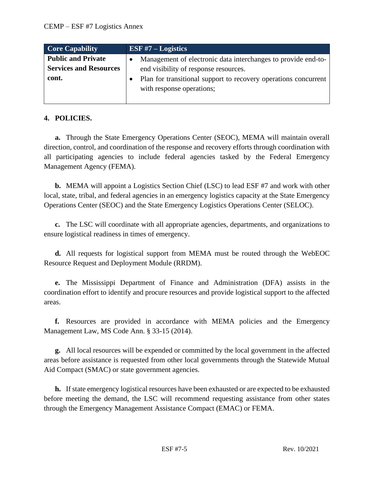| <b>Core Capability</b>        | ESF $#7$ – Logistics |                                                                                              |
|-------------------------------|----------------------|----------------------------------------------------------------------------------------------|
| <b>Public and Private</b>     |                      | Management of electronic data interchanges to provide end-to-                                |
| <b>Services and Resources</b> |                      | end visibility of response resources.                                                        |
| cont.                         |                      | Plan for transitional support to recovery operations concurrent<br>with response operations; |
|                               |                      |                                                                                              |

## **4. POLICIES.**

**a.** Through the State Emergency Operations Center (SEOC), MEMA will maintain overall direction, control, and coordination of the response and recovery efforts through coordination with all participating agencies to include federal agencies tasked by the Federal Emergency Management Agency (FEMA).

**b.** MEMA will appoint a Logistics Section Chief (LSC) to lead ESF #7 and work with other local, state, tribal, and federal agencies in an emergency logistics capacity at the State Emergency Operations Center (SEOC) and the State Emergency Logistics Operations Center (SELOC).

**c.** The LSC will coordinate with all appropriate agencies, departments, and organizations to ensure logistical readiness in times of emergency.

**d.** All requests for logistical support from MEMA must be routed through the WebEOC Resource Request and Deployment Module (RRDM).

**e.** The Mississippi Department of Finance and Administration (DFA) assists in the coordination effort to identify and procure resources and provide logistical support to the affected areas.

**f.** Resources are provided in accordance with MEMA policies and the Emergency Management Law, MS Code Ann. § 33-15 (2014).

**g.** All local resources will be expended or committed by the local government in the affected areas before assistance is requested from other local governments through the Statewide Mutual Aid Compact (SMAC) or state government agencies.

**h.** If state emergency logistical resources have been exhausted or are expected to be exhausted before meeting the demand, the LSC will recommend requesting assistance from other states through the Emergency Management Assistance Compact (EMAC) or FEMA.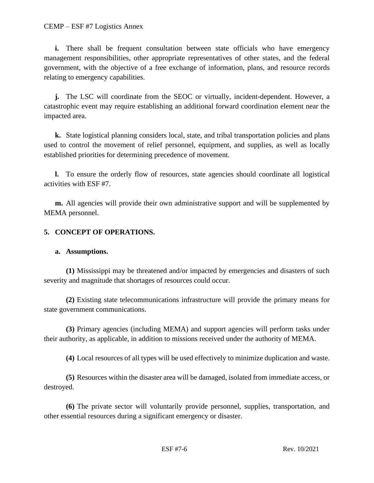CEMP – ESF #7 Logistics Annex

**i.** There shall be frequent consultation between state officials who have emergency management responsibilities, other appropriate representatives of other states, and the federal government, with the objective of a free exchange of information, plans, and resource records relating to emergency capabilities.

**j.** The LSC will coordinate from the SEOC or virtually, incident-dependent. However, a catastrophic event may require establishing an additional forward coordination element near the impacted area.

**k.** State logistical planning considers local, state, and tribal transportation policies and plans used to control the movement of relief personnel, equipment, and supplies, as well as locally established priorities for determining precedence of movement.

**l.** To ensure the orderly flow of resources, state agencies should coordinate all logistical activities with ESF #7.

**m.** All agencies will provide their own administrative support and will be supplemented by MEMA personnel.

#### **5. CONCEPT OF OPERATIONS.**

#### **a. Assumptions.**

**(1)** Mississippi may be threatened and/or impacted by emergencies and disasters of such severity and magnitude that shortages of resources could occur.

**(2)** Existing state telecommunications infrastructure will provide the primary means for state government communications.

**(3)** Primary agencies (including MEMA) and support agencies will perform tasks under their authority, as applicable, in addition to missions received under the authority of MEMA.

**(4)** Local resources of all types will be used effectively to minimize duplication and waste.

**(5)** Resources within the disaster area will be damaged, isolated from immediate access, or destroyed.

**(6)** The private sector will voluntarily provide personnel, supplies, transportation, and other essential resources during a significant emergency or disaster.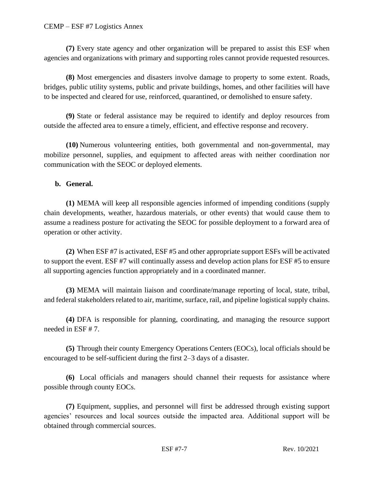**(7)** Every state agency and other organization will be prepared to assist this ESF when agencies and organizations with primary and supporting roles cannot provide requested resources.

**(8)** Most emergencies and disasters involve damage to property to some extent. Roads, bridges, public utility systems, public and private buildings, homes, and other facilities will have to be inspected and cleared for use, reinforced, quarantined, or demolished to ensure safety.

**(9)** State or federal assistance may be required to identify and deploy resources from outside the affected area to ensure a timely, efficient, and effective response and recovery.

**(10)** Numerous volunteering entities, both governmental and non-governmental, may mobilize personnel, supplies, and equipment to affected areas with neither coordination nor communication with the SEOC or deployed elements.

### **b. General.**

**(1)** MEMA will keep all responsible agencies informed of impending conditions (supply chain developments, weather, hazardous materials, or other events) that would cause them to assume a readiness posture for activating the SEOC for possible deployment to a forward area of operation or other activity.

**(2)** When ESF #7 is activated, ESF #5 and other appropriate support ESFs will be activated to support the event. ESF #7 will continually assess and develop action plans for ESF #5 to ensure all supporting agencies function appropriately and in a coordinated manner.

**(3)** MEMA will maintain liaison and coordinate/manage reporting of local, state, tribal, and federal stakeholders related to air, maritime, surface, rail, and pipeline logistical supply chains.

**(4)** DFA is responsible for planning, coordinating, and managing the resource support needed in ESF # 7.

**(5)** Through their county Emergency Operations Centers (EOCs), local officials should be encouraged to be self-sufficient during the first 2–3 days of a disaster.

**(6)** Local officials and managers should channel their requests for assistance where possible through county EOCs.

**(7)** Equipment, supplies, and personnel will first be addressed through existing support agencies' resources and local sources outside the impacted area. Additional support will be obtained through commercial sources.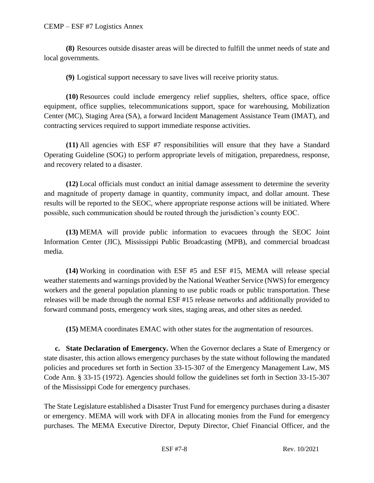#### CEMP – ESF #7 Logistics Annex

**(8)** Resources outside disaster areas will be directed to fulfill the unmet needs of state and local governments.

**(9)** Logistical support necessary to save lives will receive priority status.

**(10)** Resources could include emergency relief supplies, shelters, office space, office equipment, office supplies, telecommunications support, space for warehousing, Mobilization Center (MC), Staging Area (SA), a forward Incident Management Assistance Team (IMAT), and contracting services required to support immediate response activities.

**(11)** All agencies with ESF #7 responsibilities will ensure that they have a Standard Operating Guideline (SOG) to perform appropriate levels of mitigation, preparedness, response, and recovery related to a disaster.

**(12)** Local officials must conduct an initial damage assessment to determine the severity and magnitude of property damage in quantity, community impact, and dollar amount. These results will be reported to the SEOC, where appropriate response actions will be initiated. Where possible, such communication should be routed through the jurisdiction's county EOC.

**(13)** MEMA will provide public information to evacuees through the SEOC Joint Information Center (JIC), Mississippi Public Broadcasting (MPB), and commercial broadcast media.

**(14)** Working in coordination with ESF #5 and ESF #15, MEMA will release special weather statements and warnings provided by the National Weather Service (NWS) for emergency workers and the general population planning to use public roads or public transportation. These releases will be made through the normal ESF #15 release networks and additionally provided to forward command posts, emergency work sites, staging areas, and other sites as needed.

**(15)** MEMA coordinates EMAC with other states for the augmentation of resources.

**c. State Declaration of Emergency.** When the Governor declares a State of Emergency or state disaster, this action allows emergency purchases by the state without following the mandated policies and procedures set forth in Section 33-15-307 of the Emergency Management Law, MS Code Ann. § 33-15 (1972). Agencies should follow the guidelines set forth in Section 33-15-307 of the Mississippi Code for emergency purchases.

The State Legislature established a Disaster Trust Fund for emergency purchases during a disaster or emergency. MEMA will work with DFA in allocating monies from the Fund for emergency purchases. The MEMA Executive Director, Deputy Director, Chief Financial Officer, and the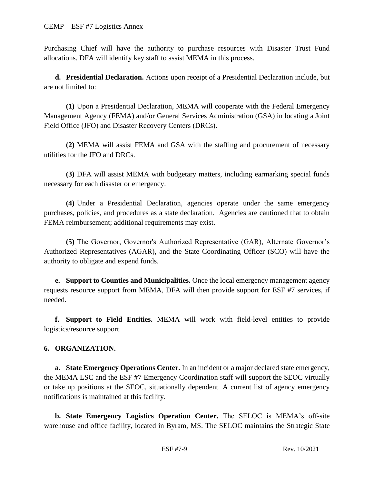Purchasing Chief will have the authority to purchase resources with Disaster Trust Fund allocations. DFA will identify key staff to assist MEMA in this process.

**d. Presidential Declaration.** Actions upon receipt of a Presidential Declaration include, but are not limited to:

**(1)** Upon a Presidential Declaration, MEMA will cooperate with the Federal Emergency Management Agency (FEMA) and/or General Services Administration (GSA) in locating a Joint Field Office (JFO) and Disaster Recovery Centers (DRCs).

**(2)** MEMA will assist FEMA and GSA with the staffing and procurement of necessary utilities for the JFO and DRCs.

**(3)** DFA will assist MEMA with budgetary matters, including earmarking special funds necessary for each disaster or emergency.

**(4)** Under a Presidential Declaration, agencies operate under the same emergency purchases, policies, and procedures as a state declaration. Agencies are cautioned that to obtain FEMA reimbursement; additional requirements may exist.

**(5)** The Governor, Governor's Authorized Representative (GAR), Alternate Governor's Authorized Representatives (AGAR), and the State Coordinating Officer (SCO) will have the authority to obligate and expend funds.

**e. Support to Counties and Municipalities.** Once the local emergency management agency requests resource support from MEMA, DFA will then provide support for ESF #7 services, if needed.

**f. Support to Field Entities.** MEMA will work with field-level entities to provide logistics/resource support.

## **6. ORGANIZATION.**

**a. State Emergency Operations Center.** In an incident or a major declared state emergency, the MEMA LSC and the ESF #7 Emergency Coordination staff will support the SEOC virtually or take up positions at the SEOC, situationally dependent. A current list of agency emergency notifications is maintained at this facility.

**b. State Emergency Logistics Operation Center.** The SELOC is MEMA's off-site warehouse and office facility, located in Byram, MS. The SELOC maintains the Strategic State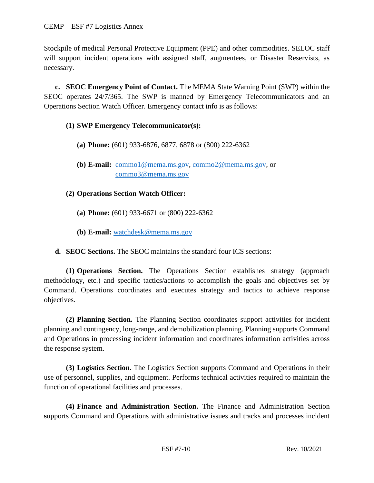Stockpile of medical Personal Protective Equipment (PPE) and other commodities. SELOC staff will support incident operations with assigned staff, augmentees, or Disaster Reservists, as necessary.

**c. SEOC Emergency Point of Contact.** The MEMA State Warning Point (SWP) within the SEOC operates 24/7/365. The SWP is manned by Emergency Telecommunicators and an Operations Section Watch Officer. Emergency contact info is as follows:

### **(1) SWP Emergency Telecommunicator(s):**

- **(a) Phone:** (601) 933-6876, 6877, 6878 or (800) 222-6362
- **(b) E-mail:** [commo1@mema.ms.gov,](mailto:commo1@mema.ms.gov) [commo2@mema.ms.gov,](mailto:commo2@mema.ms.gov) or [commo3@mema.ms.gov](mailto:commo3@mema.ms.gov)
- **(2) Operations Section Watch Officer:**
	- **(a) Phone:** (601) 933-6671 or (800) 222-6362
	- **(b) E-mail:** [watchdesk@mema.ms.gov](mailto:watchdesk@mema.ms.gov)
- **d. SEOC Sections.** The SEOC maintains the standard four ICS sections:

**(1) Operations Section.** The Operations Section establishes strategy (approach methodology, etc.) and specific tactics/actions to accomplish the goals and objectives set by Command. Operations coordinates and executes strategy and tactics to achieve response objectives.

**(2) Planning Section.** The Planning Section coordinates support activities for incident planning and contingency, long-range, and demobilization planning. Planning supports Command and Operations in processing incident information and coordinates information activities across the response system.

**(3) Logistics Section.** The Logistics Section **s**upports Command and Operations in their use of personnel, supplies, and equipment. Performs technical activities required to maintain the function of operational facilities and processes.

**(4) Finance and Administration Section.** The Finance and Administration Section **s**upports Command and Operations with administrative issues and tracks and processes incident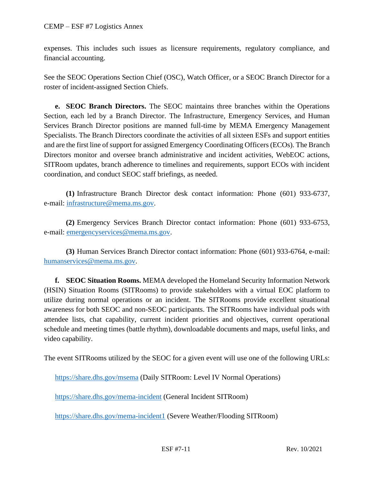expenses. This includes such issues as licensure requirements, regulatory compliance, and financial accounting.

See the SEOC Operations Section Chief (OSC), Watch Officer, or a SEOC Branch Director for a roster of incident-assigned Section Chiefs.

**e. SEOC Branch Directors.** The SEOC maintains three branches within the Operations Section, each led by a Branch Director. The Infrastructure, Emergency Services, and Human Services Branch Director positions are manned full-time by MEMA Emergency Management Specialists. The Branch Directors coordinate the activities of all sixteen ESFs and support entities and are the first line of support for assigned Emergency Coordinating Officers (ECOs). The Branch Directors monitor and oversee branch administrative and incident activities, WebEOC actions, SITRoom updates, branch adherence to timelines and requirements, support ECOs with incident coordination, and conduct SEOC staff briefings, as needed.

**(1)** Infrastructure Branch Director desk contact information: Phone (601) 933-6737, e-mail: [infrastructure@mema.ms.gov.](mailto:infrastructure@mema.ms.gov)

**(2)** Emergency Services Branch Director contact information: Phone (601) 933-6753, e-mail: [emergencyservices@mema.ms.gov.](mailto:emergencyservices@mema.ms.gov)

**(3)** Human Services Branch Director contact information: Phone (601) 933-6764, e-mail: [humanservices@mema.ms.gov.](mailto:humanservices@mema.ms.gov)

**f. SEOC Situation Rooms.** MEMA developed the Homeland Security Information Network (HSIN) Situation Rooms (SITRooms) to provide stakeholders with a virtual EOC platform to utilize during normal operations or an incident. The SITRooms provide excellent situational awareness for both SEOC and non-SEOC participants. The SITRooms have individual pods with attendee lists, chat capability, current incident priorities and objectives, current operational schedule and meeting times (battle rhythm), downloadable documents and maps, useful links, and video capability.

The event SITRooms utilized by the SEOC for a given event will use one of the following URLs:

<https://share.dhs.gov/msema> (Daily SITRoom: Level IV Normal Operations)

<https://share.dhs.gov/mema-incident> (General Incident SITRoom)

<https://share.dhs.gov/mema-incident1> (Severe Weather/Flooding SITRoom)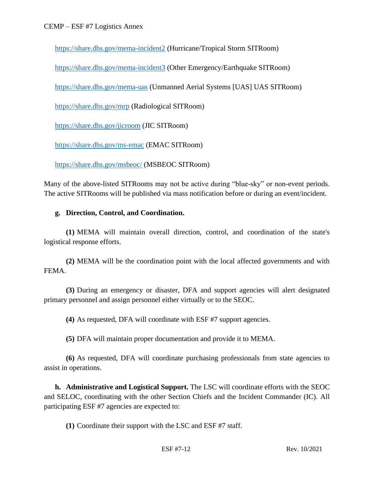<https://share.dhs.gov/mema-incident2> (Hurricane/Tropical Storm SITRoom)

<https://share.dhs.gov/mema-incident3> (Other Emergency/Earthquake SITRoom)

<https://share.dhs.gov/mema-uas> (Unmanned Aerial Systems [UAS] UAS SITRoom)

<https://share.dhs.gov/mrp> (Radiological SITRoom)

<https://share.dhs.gov/jicroom> (JIC SITRoom)

<https://share.dhs.gov/ms-emac> (EMAC SITRoom)

<https://share.dhs.gov/msbeoc/> (MSBEOC SITRoom)

Many of the above-listed SITRooms may not be active during "blue-sky" or non-event periods. The active SITRooms will be published via mass notification before or during an event/incident.

### **g. Direction, Control, and Coordination.**

**(1)** MEMA will maintain overall direction, control, and coordination of the state's logistical response efforts.

**(2)** MEMA will be the coordination point with the local affected governments and with FEMA.

**(3)** During an emergency or disaster, DFA and support agencies will alert designated primary personnel and assign personnel either virtually or to the SEOC.

**(4)** As requested, DFA will coordinate with ESF #7 support agencies.

**(5)** DFA will maintain proper documentation and provide it to MEMA.

**(6)** As requested, DFA will coordinate purchasing professionals from state agencies to assist in operations.

**h. Administrative and Logistical Support.** The LSC will coordinate efforts with the SEOC and SELOC, coordinating with the other Section Chiefs and the Incident Commander (IC). All participating ESF #7 agencies are expected to:

**(1)** Coordinate their support with the LSC and ESF #7 staff.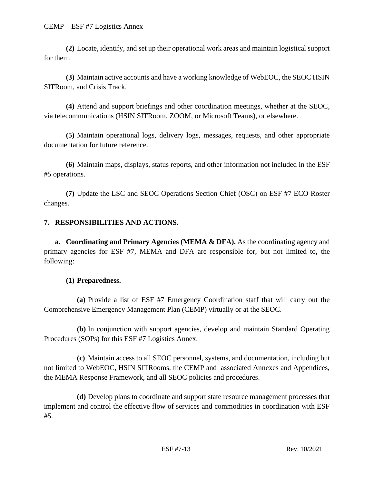**(2)** Locate, identify, and set up their operational work areas and maintain logistical support for them.

**(3)** Maintain active accounts and have a working knowledge of WebEOC, the SEOC HSIN SITRoom, and Crisis Track.

**(4)** Attend and support briefings and other coordination meetings, whether at the SEOC, via telecommunications (HSIN SITRoom, ZOOM, or Microsoft Teams), or elsewhere.

**(5)** Maintain operational logs, delivery logs, messages, requests, and other appropriate documentation for future reference.

**(6)** Maintain maps, displays, status reports, and other information not included in the ESF #5 operations.

**(7)** Update the LSC and SEOC Operations Section Chief (OSC) on ESF #7 ECO Roster changes.

## **7. RESPONSIBILITIES AND ACTIONS.**

**a. Coordinating and Primary Agencies (MEMA & DFA).** As the coordinating agency and primary agencies for ESF #7, MEMA and DFA are responsible for, but not limited to, the following:

#### **(1) Preparedness.**

**(a)** Provide a list of ESF #7 Emergency Coordination staff that will carry out the Comprehensive Emergency Management Plan (CEMP) virtually or at the SEOC.

**(b)** In conjunction with support agencies, develop and maintain Standard Operating Procedures (SOPs) for this ESF #7 Logistics Annex.

**(c)** Maintain access to all SEOC personnel, systems, and documentation, including but not limited to WebEOC, HSIN SITRooms, the CEMP and associated Annexes and Appendices, the MEMA Response Framework, and all SEOC policies and procedures.

**(d)** Develop plans to coordinate and support state resource management processes that implement and control the effective flow of services and commodities in coordination with ESF #5.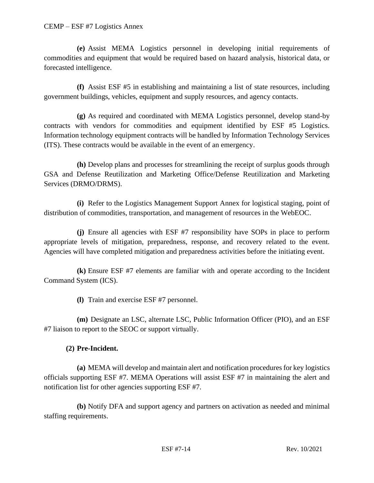**(e)** Assist MEMA Logistics personnel in developing initial requirements of commodities and equipment that would be required based on hazard analysis, historical data, or forecasted intelligence.

**(f)** Assist ESF #5 in establishing and maintaining a list of state resources, including government buildings, vehicles, equipment and supply resources, and agency contacts.

**(g)** As required and coordinated with MEMA Logistics personnel, develop stand-by contracts with vendors for commodities and equipment identified by ESF #5 Logistics. Information technology equipment contracts will be handled by Information Technology Services (ITS). These contracts would be available in the event of an emergency.

**(h)** Develop plans and processes for streamlining the receipt of surplus goods through GSA and Defense Reutilization and Marketing Office/Defense Reutilization and Marketing Services (DRMO/DRMS).

**(i)** Refer to the Logistics Management Support Annex for logistical staging, point of distribution of commodities, transportation, and management of resources in the WebEOC.

**(j)** Ensure all agencies with ESF #7 responsibility have SOPs in place to perform appropriate levels of mitigation, preparedness, response, and recovery related to the event. Agencies will have completed mitigation and preparedness activities before the initiating event.

**(k)** Ensure ESF #7 elements are familiar with and operate according to the Incident Command System (ICS).

**(l)** Train and exercise ESF #7 personnel.

**(m)** Designate an LSC, alternate LSC, Public Information Officer (PIO), and an ESF #7 liaison to report to the SEOC or support virtually.

## **(2) Pre-Incident.**

**(a)** MEMA will develop and maintain alert and notification procedures for key logistics officials supporting ESF #7. MEMA Operations will assist ESF #7 in maintaining the alert and notification list for other agencies supporting ESF #7.

**(b)** Notify DFA and support agency and partners on activation as needed and minimal staffing requirements.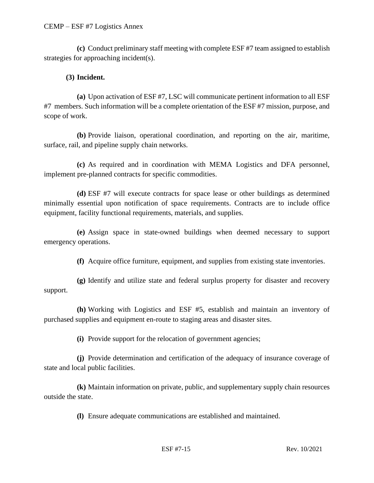**(c)** Conduct preliminary staff meeting with complete ESF #7 team assigned to establish strategies for approaching incident(s).

### **(3) Incident.**

**(a)** Upon activation of ESF #7, LSC will communicate pertinent information to all ESF #7 members. Such information will be a complete orientation of the ESF #7 mission, purpose, and scope of work.

**(b)** Provide liaison, operational coordination, and reporting on the air, maritime, surface, rail, and pipeline supply chain networks.

**(c)** As required and in coordination with MEMA Logistics and DFA personnel, implement pre-planned contracts for specific commodities.

**(d)** ESF #7 will execute contracts for space lease or other buildings as determined minimally essential upon notification of space requirements. Contracts are to include office equipment, facility functional requirements, materials, and supplies.

**(e)** Assign space in state-owned buildings when deemed necessary to support emergency operations.

**(f)** Acquire office furniture, equipment, and supplies from existing state inventories.

**(g)** Identify and utilize state and federal surplus property for disaster and recovery support.

**(h)** Working with Logistics and ESF #5, establish and maintain an inventory of purchased supplies and equipment en-route to staging areas and disaster sites.

**(i)** Provide support for the relocation of government agencies;

**(j)** Provide determination and certification of the adequacy of insurance coverage of state and local public facilities.

**(k)** Maintain information on private, public, and supplementary supply chain resources outside the state.

**(l)** Ensure adequate communications are established and maintained.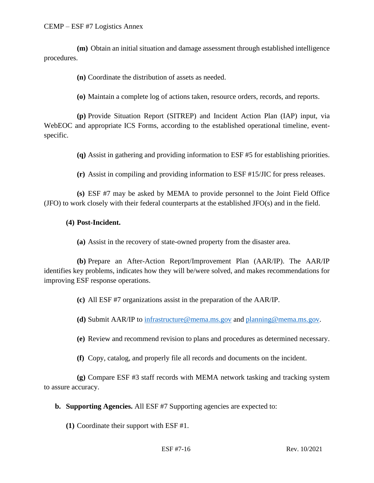**(m)** Obtain an initial situation and damage assessment through established intelligence procedures.

**(n)** Coordinate the distribution of assets as needed.

**(o)** Maintain a complete log of actions taken, resource orders, records, and reports.

**(p)** Provide Situation Report (SITREP) and Incident Action Plan (IAP) input, via WebEOC and appropriate ICS Forms, according to the established operational timeline, eventspecific.

**(q)** Assist in gathering and providing information to ESF #5 for establishing priorities.

**(r)** Assist in compiling and providing information to ESF #15/JIC for press releases.

**(s)** ESF #7 may be asked by MEMA to provide personnel to the Joint Field Office (JFO) to work closely with their federal counterparts at the established JFO(s) and in the field.

#### **(4) Post-Incident.**

**(a)** Assist in the recovery of state-owned property from the disaster area.

**(b)** Prepare an After-Action Report/Improvement Plan (AAR/IP). The AAR/IP identifies key problems, indicates how they will be/were solved, and makes recommendations for improving ESF response operations.

**(c)** All ESF #7 organizations assist in the preparation of the AAR/IP.

**(d)** Submit AAR/IP to [infrastructure@mema.ms.gov](mailto:infrastructure@mema.ms.gov) and [planning@mema.ms.gov.](mailto:planning@mema.ms.gov)

**(e)** Review and recommend revision to plans and procedures as determined necessary.

**(f)** Copy, catalog, and properly file all records and documents on the incident.

**(g)** Compare ESF #3 staff records with MEMA network tasking and tracking system to assure accuracy.

**b. Supporting Agencies.** All ESF #7 Supporting agencies are expected to:

**(1)** Coordinate their support with ESF #1.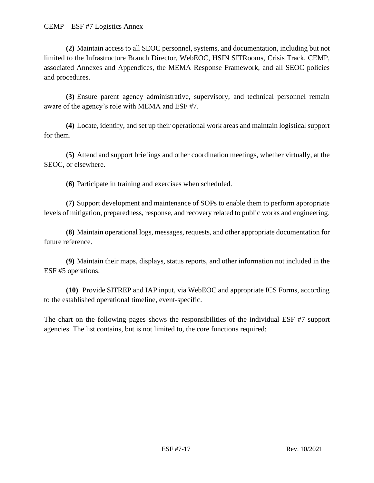**(2)** Maintain access to all SEOC personnel, systems, and documentation, including but not limited to the Infrastructure Branch Director, WebEOC, HSIN SITRooms, Crisis Track, CEMP, associated Annexes and Appendices, the MEMA Response Framework, and all SEOC policies and procedures.

**(3)** Ensure parent agency administrative, supervisory, and technical personnel remain aware of the agency's role with MEMA and ESF #7.

**(4)** Locate, identify, and set up their operational work areas and maintain logistical support for them.

**(5)** Attend and support briefings and other coordination meetings, whether virtually, at the SEOC, or elsewhere.

**(6)** Participate in training and exercises when scheduled.

**(7)** Support development and maintenance of SOPs to enable them to perform appropriate levels of mitigation, preparedness, response, and recovery related to public works and engineering.

**(8)** Maintain operational logs, messages, requests, and other appropriate documentation for future reference.

**(9)** Maintain their maps, displays, status reports, and other information not included in the ESF #5 operations.

**(10)** Provide SITREP and IAP input, via WebEOC and appropriate ICS Forms, according to the established operational timeline, event-specific.

The chart on the following pages shows the responsibilities of the individual ESF #7 support agencies. The list contains, but is not limited to, the core functions required: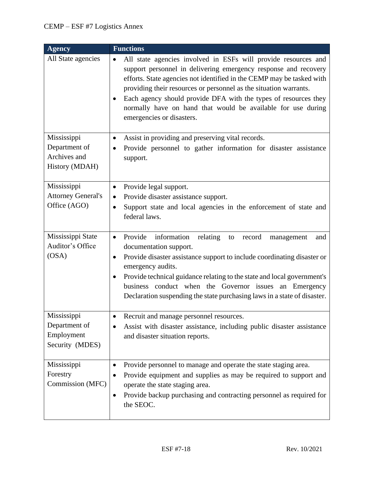| <b>Agency</b>                                                  | <b>Functions</b>                                                                                                                                                                                                                                                                                                                                                                                                                                                  |
|----------------------------------------------------------------|-------------------------------------------------------------------------------------------------------------------------------------------------------------------------------------------------------------------------------------------------------------------------------------------------------------------------------------------------------------------------------------------------------------------------------------------------------------------|
| All State agencies                                             | All state agencies involved in ESFs will provide resources and<br>$\bullet$<br>support personnel in delivering emergency response and recovery<br>efforts. State agencies not identified in the CEMP may be tasked with<br>providing their resources or personnel as the situation warrants.<br>Each agency should provide DFA with the types of resources they<br>٠<br>normally have on hand that would be available for use during<br>emergencies or disasters. |
| Mississippi<br>Department of<br>Archives and<br>History (MDAH) | Assist in providing and preserving vital records.<br>$\bullet$<br>Provide personnel to gather information for disaster assistance<br>$\bullet$<br>support.                                                                                                                                                                                                                                                                                                        |
| Mississippi<br><b>Attorney General's</b><br>Office (AGO)       | Provide legal support.<br>$\bullet$<br>Provide disaster assistance support.<br>Support state and local agencies in the enforcement of state and<br>$\bullet$<br>federal laws.                                                                                                                                                                                                                                                                                     |
| Mississippi State<br>Auditor's Office<br>(OSA)                 | Provide<br>information<br>relating<br>record<br>$\bullet$<br>to<br>management<br>and<br>documentation support.<br>Provide disaster assistance support to include coordinating disaster or<br>$\bullet$<br>emergency audits.<br>Provide technical guidance relating to the state and local government's<br>٠<br>business conduct when the Governor issues an Emergency<br>Declaration suspending the state purchasing laws in a state of disaster.                 |
| Mississippi<br>Department of<br>Employment<br>Security (MDES)  | Recruit and manage personnel resources.<br>Assist with disaster assistance, including public disaster assistance<br>$\bullet$<br>and disaster situation reports.                                                                                                                                                                                                                                                                                                  |
| Mississippi<br>Forestry<br>Commission (MFC)                    | Provide personnel to manage and operate the state staging area.<br>٠<br>Provide equipment and supplies as may be required to support and<br>$\bullet$<br>operate the state staging area.<br>Provide backup purchasing and contracting personnel as required for<br>$\bullet$<br>the SEOC.                                                                                                                                                                         |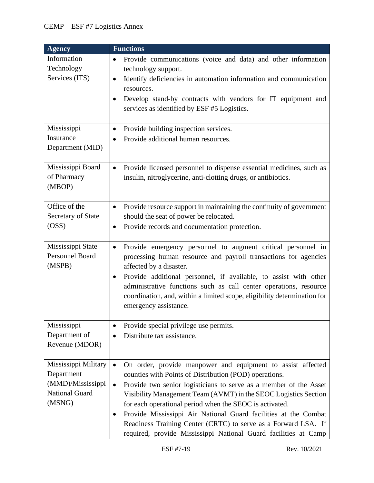| <b>Agency</b>                                                                       | <b>Functions</b>                                                                                                                                                                                                                                                                                                                                                                                                                                                                                                                                                |  |  |
|-------------------------------------------------------------------------------------|-----------------------------------------------------------------------------------------------------------------------------------------------------------------------------------------------------------------------------------------------------------------------------------------------------------------------------------------------------------------------------------------------------------------------------------------------------------------------------------------------------------------------------------------------------------------|--|--|
| Information<br>Technology<br>Services (ITS)                                         | Provide communications (voice and data) and other information<br>$\bullet$<br>technology support.<br>Identify deficiencies in automation information and communication<br>$\bullet$<br>resources.<br>Develop stand-by contracts with vendors for IT equipment and<br>$\bullet$<br>services as identified by ESF #5 Logistics.                                                                                                                                                                                                                                   |  |  |
| Mississippi<br>Insurance<br>Department (MID)                                        | Provide building inspection services.<br>$\bullet$<br>Provide additional human resources.<br>$\bullet$                                                                                                                                                                                                                                                                                                                                                                                                                                                          |  |  |
| Mississippi Board<br>of Pharmacy<br>(MBOP)                                          | Provide licensed personnel to dispense essential medicines, such as<br>$\bullet$<br>insulin, nitroglycerine, anti-clotting drugs, or antibiotics.                                                                                                                                                                                                                                                                                                                                                                                                               |  |  |
| Office of the<br>Secretary of State<br>(OSS)                                        | Provide resource support in maintaining the continuity of government<br>$\bullet$<br>should the seat of power be relocated.<br>Provide records and documentation protection.<br>$\bullet$                                                                                                                                                                                                                                                                                                                                                                       |  |  |
| Mississippi State<br>Personnel Board<br>(MSPB)                                      | Provide emergency personnel to augment critical personnel in<br>$\bullet$<br>processing human resource and payroll transactions for agencies<br>affected by a disaster.<br>Provide additional personnel, if available, to assist with other<br>$\bullet$<br>administrative functions such as call center operations, resource<br>coordination, and, within a limited scope, eligibility determination for<br>emergency assistance.                                                                                                                              |  |  |
| Mississippi<br>Department of<br>Revenue (MDOR)                                      | Provide special privilege use permits.<br>$\bullet$<br>Distribute tax assistance.                                                                                                                                                                                                                                                                                                                                                                                                                                                                               |  |  |
| Mississippi Military<br>Department<br>(MMD)/Mississippi<br>National Guard<br>(MSNG) | On order, provide manpower and equipment to assist affected<br>$\bullet$<br>counties with Points of Distribution (POD) operations.<br>Provide two senior logisticians to serve as a member of the Asset<br>$\bullet$<br>Visibility Management Team (AVMT) in the SEOC Logistics Section<br>for each operational period when the SEOC is activated.<br>Provide Mississippi Air National Guard facilities at the Combat<br>٠<br>Readiness Training Center (CRTC) to serve as a Forward LSA. If<br>required, provide Mississippi National Guard facilities at Camp |  |  |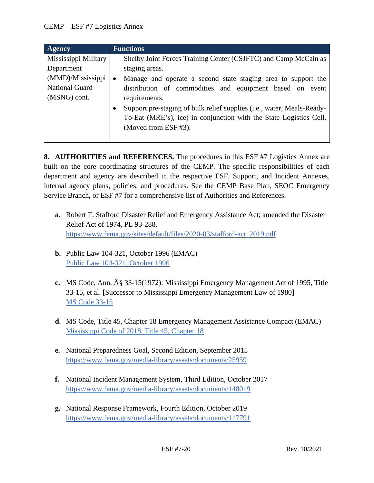| <b>Agency</b>         | <b>Functions</b>                                                            |
|-----------------------|-----------------------------------------------------------------------------|
| Mississippi Military  | Shelby Joint Forces Training Center (CSJFTC) and Camp McCain as             |
| Department            | staging areas.                                                              |
| (MMD)/Mississippi     | Manage and operate a second state staging area to support the<br>$\bullet$  |
| <b>National Guard</b> | distribution of commodities and equipment based on event                    |
| (MSNG) cont.          | requirements.                                                               |
|                       | Support pre-staging of bulk relief supplies (i.e., water, Meals-Ready-<br>٠ |
|                       | To-Eat (MRE's), ice) in conjunction with the State Logistics Cell.          |
|                       | (Moved from ESF #3).                                                        |
|                       |                                                                             |

**8. AUTHORITIES and REFERENCES.** The procedures in this ESF #7 Logistics Annex are built on the core coordinating structures of the CEMP. The specific responsibilities of each department and agency are described in the respective ESF, Support, and Incident Annexes, internal agency plans, policies, and procedures. See the CEMP Base Plan, SEOC Emergency Service Branch, or ESF #7 for a comprehensive list of Authorities and References.

- **a.** Robert T. Stafford Disaster Relief and Emergency Assistance Act; amended the Disaster Relief Act of 1974, PL 93-288. [https://www.fema.gov/sites/default/files/2020-03/stafford-act\\_2019.pdf](https://www.fema.gov/sites/default/files/2020-03/stafford-act_2019.pdf)
- **b.** Public Law 104-321, October 1996 (EMAC) [Public Law 104-321, October 1996](https://www.congress.gov/104/plaws/publ321/PLAW-104publ321.pdf)
- **c.** MS Code, Ann. § 33-15(1972): Mississippi Emergency Management Act of 1995, Title 33-15, et al. [Successor to Mississippi Emergency Management Law of 1980] [MS Code 33-15](https://law.justia.com/codes/mississippi/2010/title-33/15/)
- **d.** MS Code, Title 45, Chapter 18 Emergency Management Assistance Compact (EMAC) [Mississippi Code of 2018, Title 45, Chapter 18](https://law.justia.com/codes/mississippi/2018/title-45/chapter-18/)
- **e.** National Preparedness Goal, Second Edition, September 2015 <https://www.fema.gov/media-library/assets/documents/25959>
- **f.** National Incident Management System, Third Edition, October 2017 <https://www.fema.gov/media-library/assets/documents/148019>
- **g.** National Response Framework, Fourth Edition, October 2019 <https://www.fema.gov/media-library/assets/documents/117791>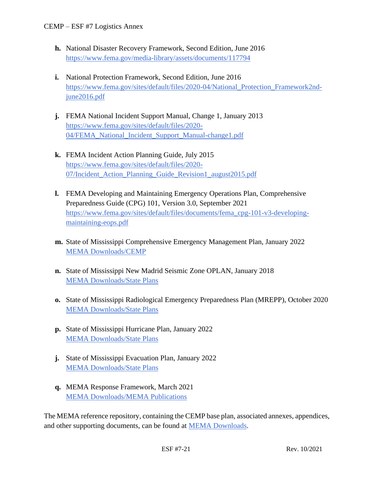- **h.** National Disaster Recovery Framework, Second Edition, June 2016 <https://www.fema.gov/media-library/assets/documents/117794>
- **i.** National Protection Framework, Second Edition, June 2016 [https://www.fema.gov/sites/default/files/2020-04/National\\_Protection\\_Framework2nd](https://www.fema.gov/sites/default/files/2020-04/National_Protection_Framework2nd-june2016.pdf)[june2016.pdf](https://www.fema.gov/sites/default/files/2020-04/National_Protection_Framework2nd-june2016.pdf)
- **j.** FEMA National Incident Support Manual, Change 1, January 2013 [https://www.fema.gov/sites/default/files/2020-](https://www.fema.gov/sites/default/files/2020-04/FEMA_National_Incident_Support_Manual-change1.pdf) [04/FEMA\\_National\\_Incident\\_Support\\_Manual-change1.pdf](https://www.fema.gov/sites/default/files/2020-04/FEMA_National_Incident_Support_Manual-change1.pdf)
- **k.** FEMA Incident Action Planning Guide, July 2015 [https://www.fema.gov/sites/default/files/2020-](https://www.fema.gov/sites/default/files/2020-07/Incident_Action_Planning_Guide_Revision1_august2015.pdf) [07/Incident\\_Action\\_Planning\\_Guide\\_Revision1\\_august2015.pdf](https://www.fema.gov/sites/default/files/2020-07/Incident_Action_Planning_Guide_Revision1_august2015.pdf)
- **l.** FEMA Developing and Maintaining Emergency Operations Plan, Comprehensive Preparedness Guide (CPG) 101, Version 3.0, September 2021 [https://www.fema.gov/sites/default/files/documents/fema\\_cpg-101-v3-developing](https://www.fema.gov/sites/default/files/documents/fema_cpg-101-v3-developing-maintaining-eops.pdf)[maintaining-eops.pdf](https://www.fema.gov/sites/default/files/documents/fema_cpg-101-v3-developing-maintaining-eops.pdf)
- **m.** State of Mississippi Comprehensive Emergency Management Plan, January 2022 [MEMA Downloads/CEMP](https://msmema.sharepoint.com/Shared%20Documents/Forms/AllItems.aspx?id=%2FShared%20Documents%2FMEMA%20Downloads%2FComprehensive%20Emergency%20Management%20Plan%20%2D%202022&viewid=8f98db8b%2D85b5%2D471a%2Db3cc%2D6cc4ee9e7407)
- **n.** State of Mississippi New Madrid Seismic Zone OPLAN, January 2018 [MEMA Downloads/State Plans](https://msmema.sharepoint.com/Shared%20Documents/Forms/AllItems.aspx?viewid=8f98db8b%2D85b5%2D471a%2Db3cc%2D6cc4ee9e7407&id=%2FShared%20Documents%2FMEMA%20Downloads%2FState%20Plans)
- **o.** State of Mississippi Radiological Emergency Preparedness Plan (MREPP), October 2020 [MEMA Downloads/State Plans](https://msmema.sharepoint.com/Shared%20Documents/Forms/AllItems.aspx?viewid=8f98db8b%2D85b5%2D471a%2Db3cc%2D6cc4ee9e7407&id=%2FShared%20Documents%2FMEMA%20Downloads%2FState%20Plans)
- **p.** State of Mississippi Hurricane Plan, January 2022 [MEMA Downloads/State Plans](https://msmema.sharepoint.com/Shared%20Documents/Forms/AllItems.aspx?viewid=8f98db8b%2D85b5%2D471a%2Db3cc%2D6cc4ee9e7407&id=%2FShared%20Documents%2FMEMA%20Downloads%2FState%20Plans)
- **j.** State of Mississippi Evacuation Plan, January 2022 [MEMA Downloads/State Plans](https://msmema.sharepoint.com/Shared%20Documents/Forms/AllItems.aspx?viewid=8f98db8b%2D85b5%2D471a%2Db3cc%2D6cc4ee9e7407&id=%2FShared%20Documents%2FMEMA%20Downloads%2FState%20Plans)
- **q.** MEMA Response Framework, March 2021 [MEMA Downloads/MEMA Publications](https://msmema.sharepoint.com/Shared%20Documents/Forms/AllItems.aspx?viewid=8f98db8b%2D85b5%2D471a%2Db3cc%2D6cc4ee9e7407&id=%2FShared%20Documents%2FMEMA%20Downloads%2FMEMA%20Publications)

The MEMA reference repository, containing the CEMP base plan, associated annexes, appendices, and other supporting documents, can be found at [MEMA Downloads.](https://msmema.sharepoint.com/:f:/g/EqOo4aFNl0dPjja3MdSpSSsBlSoSLEznRJvlUGHnID2Crw?e=G23aoB)